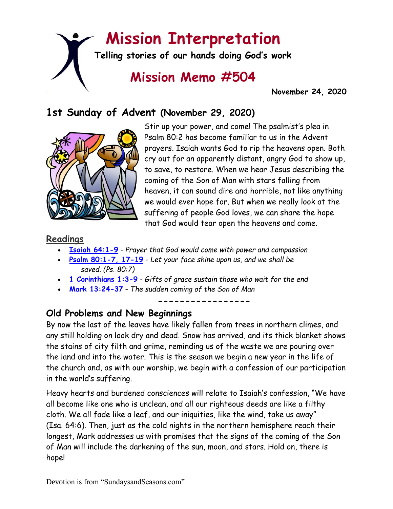# **Mission Interpretation**

**Telling stories of our hands doing God's work**

## **Mission Memo #504**

 **November 24, 2020**

### **1st Sunday of Advent (November 29, 2020)**



Stir up your power, and come! The psalmist's plea in Psalm 80:2 has become familiar to us in the Advent prayers. Isaiah wants God to rip the heavens open. Both cry out for an apparently distant, angry God to show up, to save, to restore. When we hear Jesus describing the coming of the Son of Man with stars falling from heaven, it can sound dire and horrible, not like anything we would ever hope for. But when we really look at the suffering of people God loves, we can share the hope that God would tear open the heavens and come.

#### **Readings**

- **[Isaiah 64:1-9](https://members.sundaysandseasons.com/)** *Prayer that God would come with power and compassion*
- **[Psalm 80:1-7, 17-19](https://members.sundaysandseasons.com/)** *Let your face shine upon us, and we shall be saved. (Ps. 80:7)*
- **[1 Corinthians 1:3-9](https://members.sundaysandseasons.com/)** *Gifts of grace sustain those who wait for the end*
- **[Mark 13:24-37](https://members.sundaysandseasons.com/)** *The sudden coming of the Son of Man*

**-----------------**

#### **Old Problems and New Beginnings**

By now the last of the leaves have likely fallen from trees in northern climes, and any still holding on look dry and dead. Snow has arrived, and its thick blanket shows the stains of city filth and grime, reminding us of the waste we are pouring over the land and into the water. This is the season we begin a new year in the life of the church and, as with our worship, we begin with a confession of our participation in the world's suffering.

Heavy hearts and burdened consciences will relate to Isaiah's confession, "We have all become like one who is unclean, and all our righteous deeds are like a filthy cloth. We all fade like a leaf, and our iniquities, like the wind, take us away" (Isa. 64:6). Then, just as the cold nights in the northern hemisphere reach their longest, Mark addresses us with promises that the signs of the coming of the Son of Man will include the darkening of the sun, moon, and stars. Hold on, there is hope!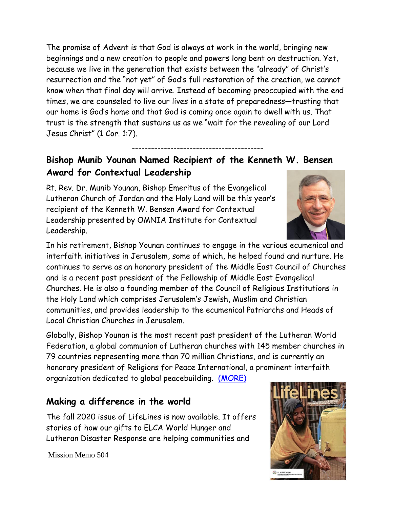The promise of Advent is that God is always at work in the world, bringing new beginnings and a new creation to people and powers long bent on destruction. Yet, because we live in the generation that exists between the "already" of Christ's resurrection and the "not yet" of God's full restoration of the creation, we cannot know when that final day will arrive. Instead of becoming preoccupied with the end times, we are counseled to live our lives in a state of preparedness—trusting that our home is God's home and that God is coming once again to dwell with us. That trust is the strength that sustains us as we "wait for the revealing of our Lord Jesus Christ" (1 Cor. 1:7).

#### **Bishop Munib Younan Named Recipient of the Kenneth W. Bensen Award for Contextual Leadership**

-----------------------------------------

Rt. Rev. Dr. Munib Younan, Bishop Emeritus of the Evangelical Lutheran Church of Jordan and the Holy Land will be this year's recipient of the Kenneth W. Bensen Award for Contextual Leadership presented by OMNIA Institute for Contextual Leadership.

In his retirement, Bishop Younan continues to engage in the various ecumenical and interfaith initiatives in Jerusalem, some of which, he helped found and nurture. He continues to serve as an honorary president of the Middle East Council of Churches and is a recent past president of the Fellowship of Middle East Evangelical Churches. He is also a founding member of the Council of Religious Institutions in the Holy Land which comprises Jerusalem's Jewish, Muslim and Christian communities, and provides leadership to the ecumenical Patriarchs and Heads of Local Christian Churches in Jerusalem.

Globally, Bishop Younan is the most recent past president of the Lutheran World Federation, a global communion of Lutheran churches with 145 member churches in 79 countries representing more than 70 million Christians, and is currently an honorary president of Religions for Peace International, a prominent interfaith organization dedicated to global peacebuilding. [\(MORE\)](https://www.omnialeadership.com/blog/2020/11/18/bishop-munib-younan-recipient-of-the-kenneth-w-bensen-award-for-contextual-leadership)

#### **Making a difference in the world**

The fall 2020 issue of LifeLines is now available. It offers stories of how our gifts to ELCA World Hunger and Lutheran Disaster Response are helping communities and

Mission Memo 504



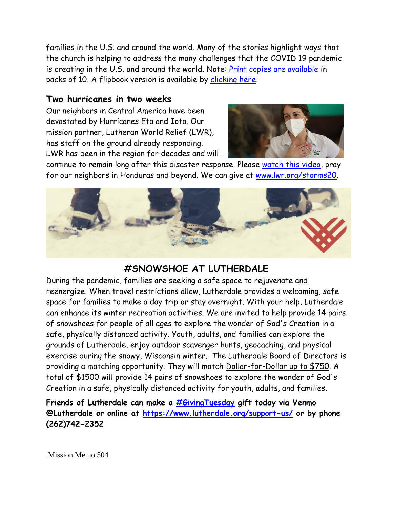families in the U.S. and around the world. Many of the stories highlight ways that the church is helping to address the many challenges that the COVID 19 pandemic is creating in the U.S. and around the world. Not[e: Print copies are available](https://resources.elca.org/Congregational_Life-LifeLines_Fall_2020.html) in packs of 10. A flipbook version is available by [clicking here.](https://www.elca.org/assets/LifeLinesFall2020/mobile/index.html?fbclid=IwAR26Ws6rTUvuvQ5ikbTZSjHV4tZxtj0LH1kjI1AVF1KdSZYKr297L3ifnZ4)

#### **Two hurricanes in two weeks**

Our neighbors in Central America have been devastated by Hurricanes Eta and Iota. Our mission partner, Lutheran World Relief (LWR), has staff on the ground already responding. LWR has been in the region for decades and will



continue to remain long after this disaster response. Please [watch this video,](https://www.youtube.com/watch?v=bNz0qUKOwEw&feature=youtu.be) pray for our neighbors in Honduras and beyond. We can give at [www.lwr.org/storms20.](https://lwr184.lt.acemlnc.com/Prod/link-tracker?redirectUrl=aHR0cCUzQSUyRiUyRnd3dy5sd3Iub3JnJTJGc3Rvcm1zMjA=&a=999968478&account=lwr184%2Eactivehosted%2Ecom&email=cApj8941nPZh7mugZuYiWwLPkW1efsNDmrdD24%2FSjmA%3D&s=ec9c02fc5c27a9904b57757d48c7c6b4&i=603A671A9A5440)



#### **#SNOWSHOE AT LUTHERDALE**

During the pandemic, families are seeking a safe space to rejuvenate and reenergize. When travel restrictions allow, Lutherdale provides a welcoming, safe space for families to make a day trip or stay overnight. With your help, Lutherdale can enhance its winter recreation activities. We are invited to help provide 14 pairs of snowshoes for people of all ages to explore the wonder of God's Creation in a safe, physically distanced activity. Youth, adults, and families can explore the grounds of Lutherdale, enjoy outdoor scavenger hunts, geocaching, and physical exercise during the snowy, Wisconsin winter. The Lutherdale Board of Directors is providing a matching opportunity. They will match Dollar-for-Dollar up to \$750. A total of \$1500 will provide 14 pairs of snowshoes to explore the wonder of God's Creation in a safe, physically distanced activity for youth, adults, and families.

**Friends of Lutherdale can make a [#GivingTuesday](https://www.facebook.com/hashtag/givingtuesday?__eep__=6&__cft__%5b0%5d=AZUjcneCBJLsqVVdzSR_Jb4Rmes0gYaOAEuUXaqFxVwAaAS56YmVhqFGXpLIdeW8kZgrol6GiJzaG9Zo-LDN_rCDpemdtwn5neZOR2sULOgJiggf4gRbl_-rP1SndfHTR-P9_pk_NU5M6TMyMbkQku8O&__tn__=*NK*F) gift today via Venmo @Lutherdale or online at [https://www.lutherdale.org/support-us/](https://www.lutherdale.org/support-us/?fbclid=IwAR18-QzYFMOCaIOHfwuCcsEs59gQaYlFZ1kXhgxGD0Nh_X5lWoE7rOUD8Nk) or by phone (262)742-2352**

Mission Memo 504